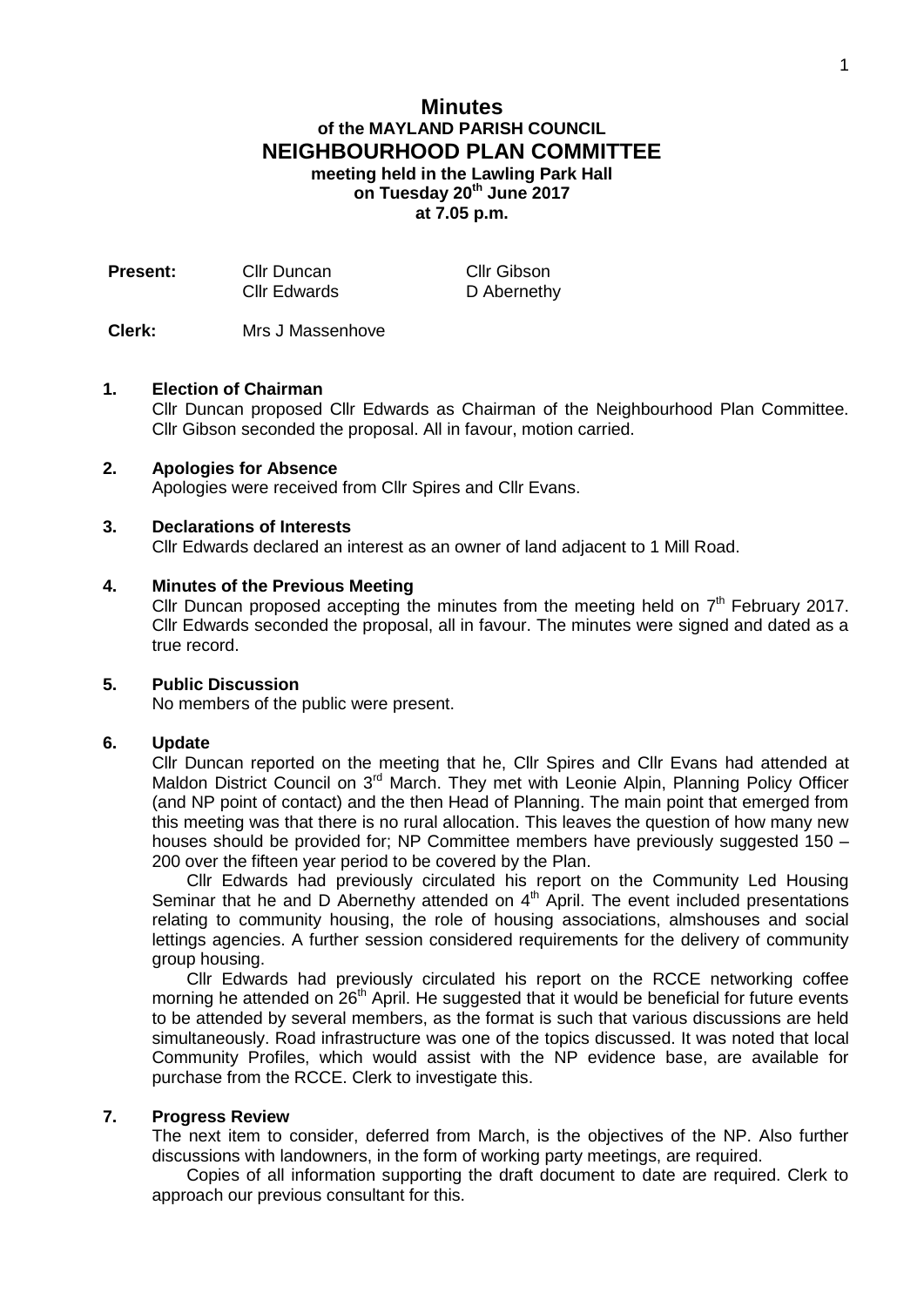# **Minutes of the MAYLAND PARISH COUNCIL NEIGHBOURHOOD PLAN COMMITTEE meeting held in the Lawling Park Hall on Tuesday 20th June 2017 at 7.05 p.m.**

| <b>Present:</b> | Cllr Duncan         | Cllr Gibson |
|-----------------|---------------------|-------------|
|                 | <b>Cllr Edwards</b> | D Abernethy |

**Clerk:** Mrs J Massenhove

### **1. Election of Chairman**

Cllr Duncan proposed Cllr Edwards as Chairman of the Neighbourhood Plan Committee. Cllr Gibson seconded the proposal. All in favour, motion carried.

#### **2. Apologies for Absence**

Apologies were received from Cllr Spires and Cllr Evans.

#### **3. Declarations of Interests**

Cllr Edwards declared an interest as an owner of land adjacent to 1 Mill Road.

### **4. Minutes of the Previous Meeting**

Cllr Duncan proposed accepting the minutes from the meeting held on  $7<sup>th</sup>$  February 2017. Cllr Edwards seconded the proposal, all in favour. The minutes were signed and dated as a true record.

#### **5. Public Discussion**

No members of the public were present.

### **6. Update**

Cllr Duncan reported on the meeting that he, Cllr Spires and Cllr Evans had attended at Maldon District Council on 3<sup>rd</sup> March. They met with Leonie Alpin, Planning Policy Officer (and NP point of contact) and the then Head of Planning. The main point that emerged from this meeting was that there is no rural allocation. This leaves the question of how many new houses should be provided for; NP Committee members have previously suggested 150 – 200 over the fifteen year period to be covered by the Plan.

Cllr Edwards had previously circulated his report on the Community Led Housing Seminar that he and D Abernethy attended on  $4<sup>th</sup>$  April. The event included presentations relating to community housing, the role of housing associations, almshouses and social lettings agencies. A further session considered requirements for the delivery of community group housing.

Cllr Edwards had previously circulated his report on the RCCE networking coffee morning he attended on  $26<sup>th</sup>$  April. He suggested that it would be beneficial for future events to be attended by several members, as the format is such that various discussions are held simultaneously. Road infrastructure was one of the topics discussed. It was noted that local Community Profiles, which would assist with the NP evidence base, are available for purchase from the RCCE. Clerk to investigate this.

### **7. Progress Review**

The next item to consider, deferred from March, is the objectives of the NP. Also further discussions with landowners, in the form of working party meetings, are required.

Copies of all information supporting the draft document to date are required. Clerk to approach our previous consultant for this.